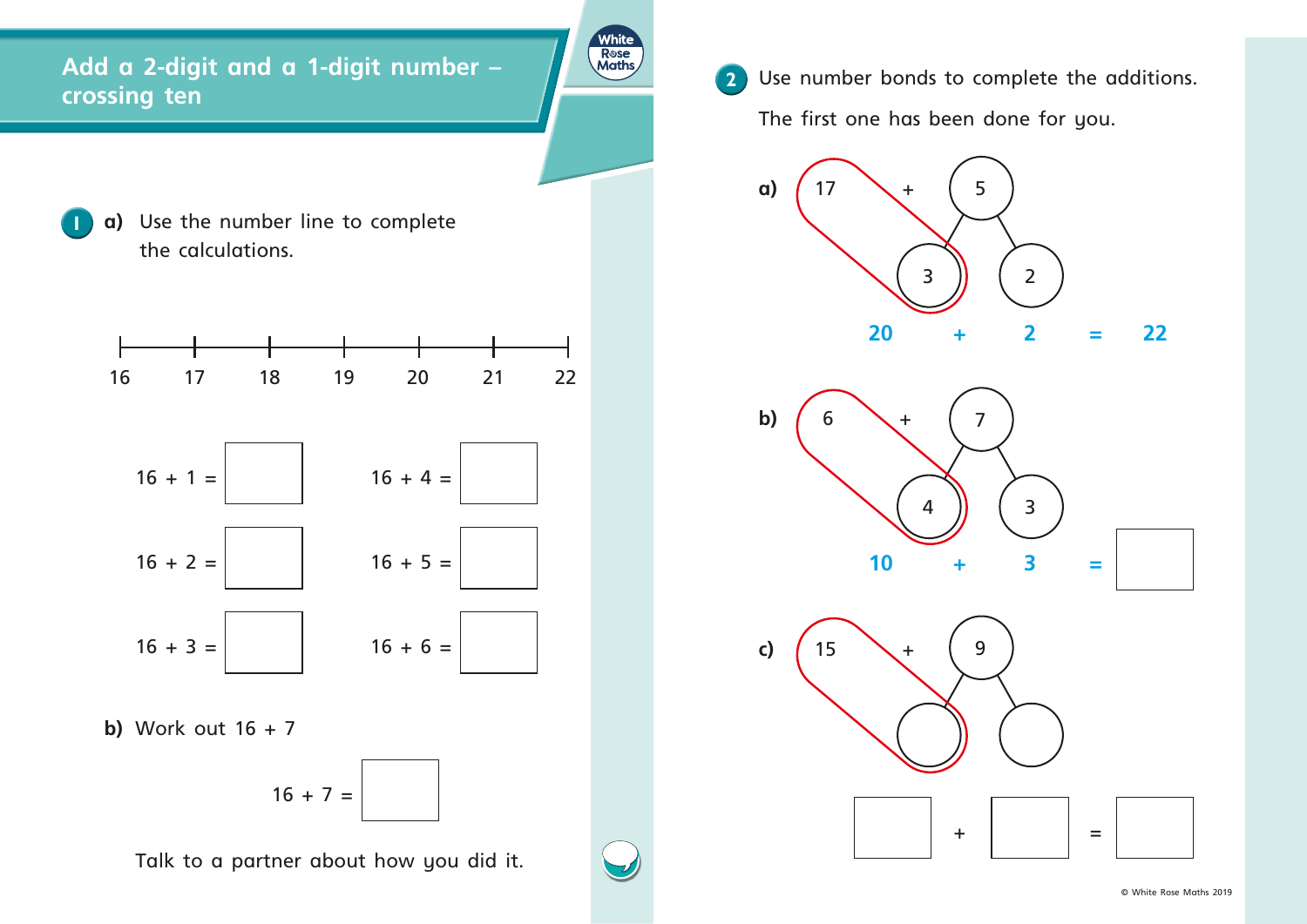**a)** Use the number line to complete the calculations.

**b)**  Work out 16 + 7

$$
16 + 7 =
$$

**2** Use number bonds to complete the additions. The first one has been done for you.

Talk to a partner about how you did it.

## **Add a 2-digit and a 1-digit number – crossing ten**

**White** Rose<br>Maths